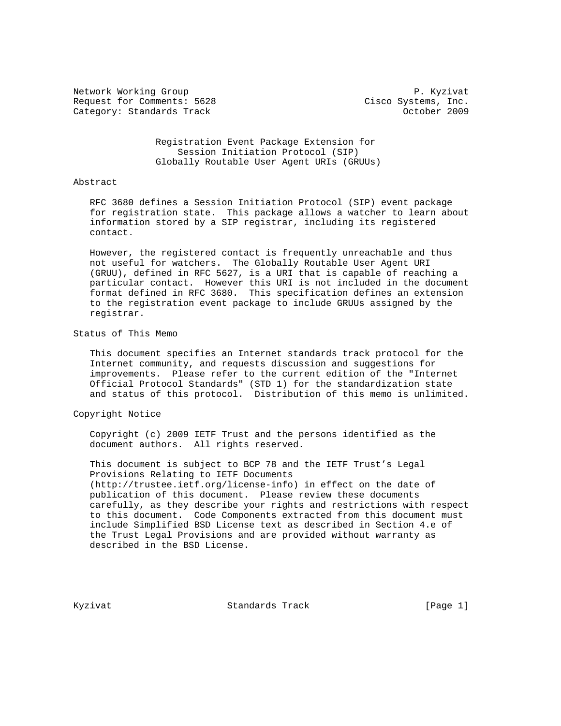Network Working Group **P. All and Struck Working Group** P. Kyzivat Request for Comments: 5628 Cisco Systems, Inc. Category: Standards Track Category: Standards Track Category: October 2009

 Registration Event Package Extension for Session Initiation Protocol (SIP) Globally Routable User Agent URIs (GRUUs)

### Abstract

 RFC 3680 defines a Session Initiation Protocol (SIP) event package for registration state. This package allows a watcher to learn about information stored by a SIP registrar, including its registered contact.

 However, the registered contact is frequently unreachable and thus not useful for watchers. The Globally Routable User Agent URI (GRUU), defined in RFC 5627, is a URI that is capable of reaching a particular contact. However this URI is not included in the document format defined in RFC 3680. This specification defines an extension to the registration event package to include GRUUs assigned by the registrar.

# Status of This Memo

 This document specifies an Internet standards track protocol for the Internet community, and requests discussion and suggestions for improvements. Please refer to the current edition of the "Internet Official Protocol Standards" (STD 1) for the standardization state and status of this protocol. Distribution of this memo is unlimited.

## Copyright Notice

 Copyright (c) 2009 IETF Trust and the persons identified as the document authors. All rights reserved.

 This document is subject to BCP 78 and the IETF Trust's Legal Provisions Relating to IETF Documents (http://trustee.ietf.org/license-info) in effect on the date of publication of this document. Please review these documents carefully, as they describe your rights and restrictions with respect to this document. Code Components extracted from this document must include Simplified BSD License text as described in Section 4.e of the Trust Legal Provisions and are provided without warranty as described in the BSD License.

Kyzivat **Standards Track** [Page 1]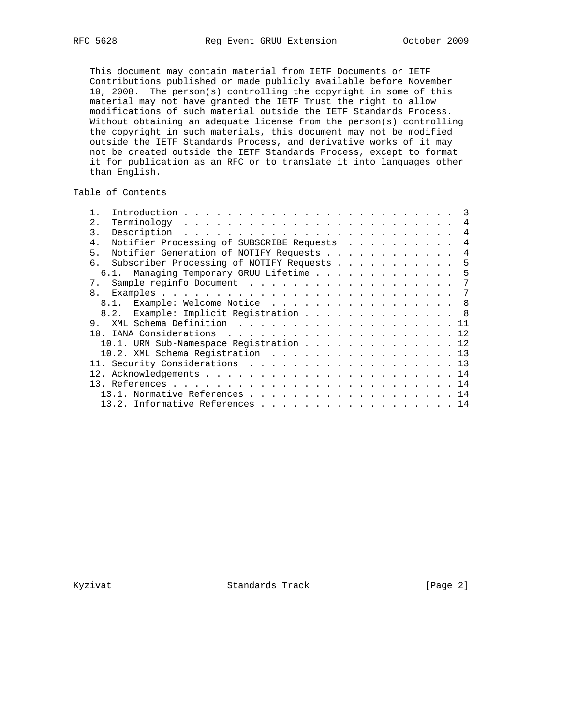This document may contain material from IETF Documents or IETF Contributions published or made publicly available before November 10, 2008. The person(s) controlling the copyright in some of this material may not have granted the IETF Trust the right to allow modifications of such material outside the IETF Standards Process. Without obtaining an adequate license from the person(s) controlling the copyright in such materials, this document may not be modified outside the IETF Standards Process, and derivative works of it may not be created outside the IETF Standards Process, except to format it for publication as an RFC or to translate it into languages other than English.

# Table of Contents

| 2.                                              |                |
|-------------------------------------------------|----------------|
| 3.                                              | 4              |
| Notifier Processing of SUBSCRIBE Requests<br>4. | $\overline{4}$ |
| Notifier Generation of NOTIFY Requests<br>5.    | 4              |
| Subscriber Processing of NOTIFY Requests<br>რ.  | -5             |
| 6.1. Managing Temporary GRUU Lifetime           | -5             |
| 7.                                              | 7              |
| 8 <sub>1</sub>                                  |                |
| 8.1. Example: Welcome Notice 8                  |                |
| 8.2. Example: Implicit Registration 8           |                |
| 9.                                              |                |
|                                                 |                |
| 10.1. URN Sub-Namespace Registration 12         |                |
| 10.2. XML Schema Registration 13                |                |
| 11. Security Considerations 13                  |                |
|                                                 |                |
|                                                 |                |
| 13.1. Normative References 14                   |                |
| 13.2. Informative References 14                 |                |

Kyzivat **Standards Track** [Page 2]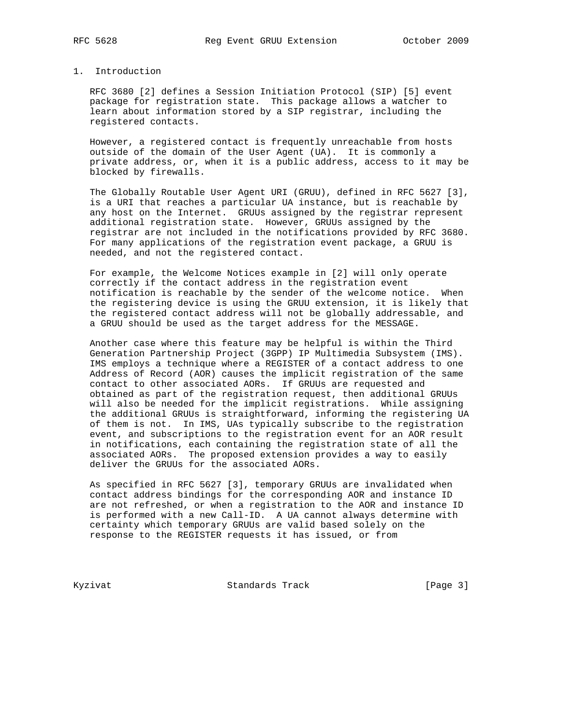# 1. Introduction

 RFC 3680 [2] defines a Session Initiation Protocol (SIP) [5] event package for registration state. This package allows a watcher to learn about information stored by a SIP registrar, including the registered contacts.

 However, a registered contact is frequently unreachable from hosts outside of the domain of the User Agent (UA). It is commonly a private address, or, when it is a public address, access to it may be blocked by firewalls.

 The Globally Routable User Agent URI (GRUU), defined in RFC 5627 [3], is a URI that reaches a particular UA instance, but is reachable by any host on the Internet. GRUUs assigned by the registrar represent additional registration state. However, GRUUs assigned by the registrar are not included in the notifications provided by RFC 3680. For many applications of the registration event package, a GRUU is needed, and not the registered contact.

 For example, the Welcome Notices example in [2] will only operate correctly if the contact address in the registration event notification is reachable by the sender of the welcome notice. When the registering device is using the GRUU extension, it is likely that the registered contact address will not be globally addressable, and a GRUU should be used as the target address for the MESSAGE.

 Another case where this feature may be helpful is within the Third Generation Partnership Project (3GPP) IP Multimedia Subsystem (IMS). IMS employs a technique where a REGISTER of a contact address to one Address of Record (AOR) causes the implicit registration of the same contact to other associated AORs. If GRUUs are requested and obtained as part of the registration request, then additional GRUUs will also be needed for the implicit registrations. While assigning the additional GRUUs is straightforward, informing the registering UA of them is not. In IMS, UAs typically subscribe to the registration event, and subscriptions to the registration event for an AOR result in notifications, each containing the registration state of all the associated AORs. The proposed extension provides a way to easily deliver the GRUUs for the associated AORs.

 As specified in RFC 5627 [3], temporary GRUUs are invalidated when contact address bindings for the corresponding AOR and instance ID are not refreshed, or when a registration to the AOR and instance ID is performed with a new Call-ID. A UA cannot always determine with certainty which temporary GRUUs are valid based solely on the response to the REGISTER requests it has issued, or from

Kyzivat **Standards Track** [Page 3]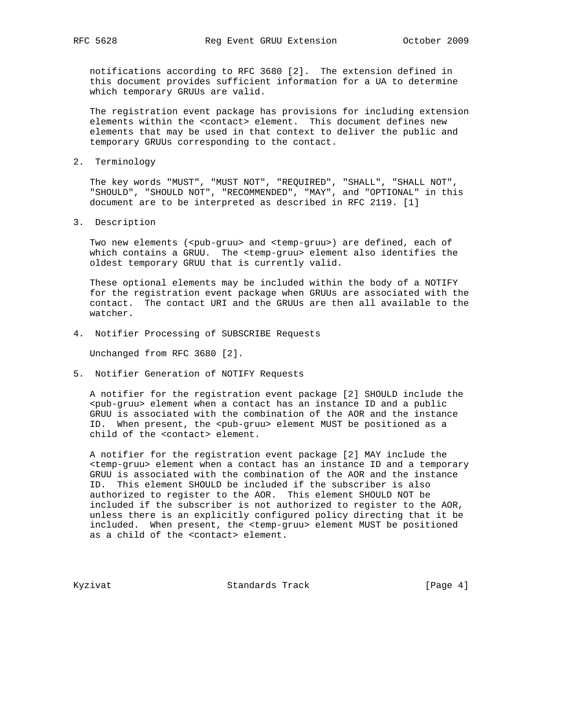notifications according to RFC 3680 [2]. The extension defined in this document provides sufficient information for a UA to determine which temporary GRUUs are valid.

 The registration event package has provisions for including extension elements within the <contact> element. This document defines new elements that may be used in that context to deliver the public and temporary GRUUs corresponding to the contact.

2. Terminology

 The key words "MUST", "MUST NOT", "REQUIRED", "SHALL", "SHALL NOT", "SHOULD", "SHOULD NOT", "RECOMMENDED", "MAY", and "OPTIONAL" in this document are to be interpreted as described in RFC 2119. [1]

3. Description

Two new elements (<pub-gruu> and <temp-gruu>) are defined, each of which contains a GRUU. The <temp-gruu> element also identifies the oldest temporary GRUU that is currently valid.

 These optional elements may be included within the body of a NOTIFY for the registration event package when GRUUs are associated with the contact. The contact URI and the GRUUs are then all available to the watcher.

4. Notifier Processing of SUBSCRIBE Requests

Unchanged from RFC 3680 [2].

5. Notifier Generation of NOTIFY Requests

 A notifier for the registration event package [2] SHOULD include the <pub-gruu> element when a contact has an instance ID and a public GRUU is associated with the combination of the AOR and the instance ID. When present, the <pub-gruu> element MUST be positioned as a child of the <contact> element.

 A notifier for the registration event package [2] MAY include the <temp-gruu> element when a contact has an instance ID and a temporary GRUU is associated with the combination of the AOR and the instance ID. This element SHOULD be included if the subscriber is also authorized to register to the AOR. This element SHOULD NOT be included if the subscriber is not authorized to register to the AOR, unless there is an explicitly configured policy directing that it be included. When present, the <temp-gruu> element MUST be positioned as a child of the <contact> element.

Kyzivat Standards Track [Page 4]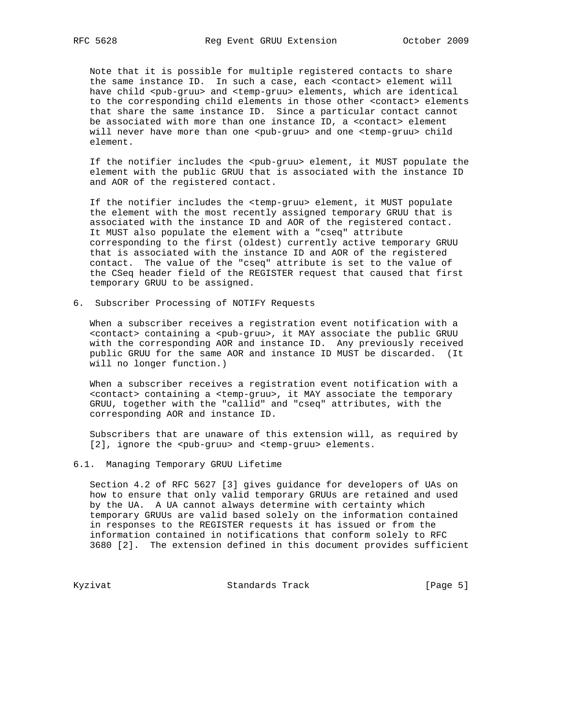Note that it is possible for multiple registered contacts to share the same instance ID. In such a case, each <contact> element will have child <pub-gruu> and <temp-gruu> elements, which are identical to the corresponding child elements in those other <contact> elements that share the same instance ID. Since a particular contact cannot be associated with more than one instance ID, a <contact> element will never have more than one <pub-gruu> and one <temp-gruu> child element.

 If the notifier includes the <pub-gruu> element, it MUST populate the element with the public GRUU that is associated with the instance ID and AOR of the registered contact.

 If the notifier includes the <temp-gruu> element, it MUST populate the element with the most recently assigned temporary GRUU that is associated with the instance ID and AOR of the registered contact. It MUST also populate the element with a "cseq" attribute corresponding to the first (oldest) currently active temporary GRUU that is associated with the instance ID and AOR of the registered contact. The value of the "cseq" attribute is set to the value of the CSeq header field of the REGISTER request that caused that first temporary GRUU to be assigned.

6. Subscriber Processing of NOTIFY Requests

 When a subscriber receives a registration event notification with a <contact> containing a <pub-gruu>, it MAY associate the public GRUU with the corresponding AOR and instance ID. Any previously received public GRUU for the same AOR and instance ID MUST be discarded. (It will no longer function.)

 When a subscriber receives a registration event notification with a <contact> containing a <temp-gruu>, it MAY associate the temporary GRUU, together with the "callid" and "cseq" attributes, with the corresponding AOR and instance ID.

 Subscribers that are unaware of this extension will, as required by [2], ignore the <pub-gruu> and <temp-gruu> elements.

## 6.1. Managing Temporary GRUU Lifetime

 Section 4.2 of RFC 5627 [3] gives guidance for developers of UAs on how to ensure that only valid temporary GRUUs are retained and used by the UA. A UA cannot always determine with certainty which temporary GRUUs are valid based solely on the information contained in responses to the REGISTER requests it has issued or from the information contained in notifications that conform solely to RFC 3680 [2]. The extension defined in this document provides sufficient

Kyzivat **Standards Track** [Page 5]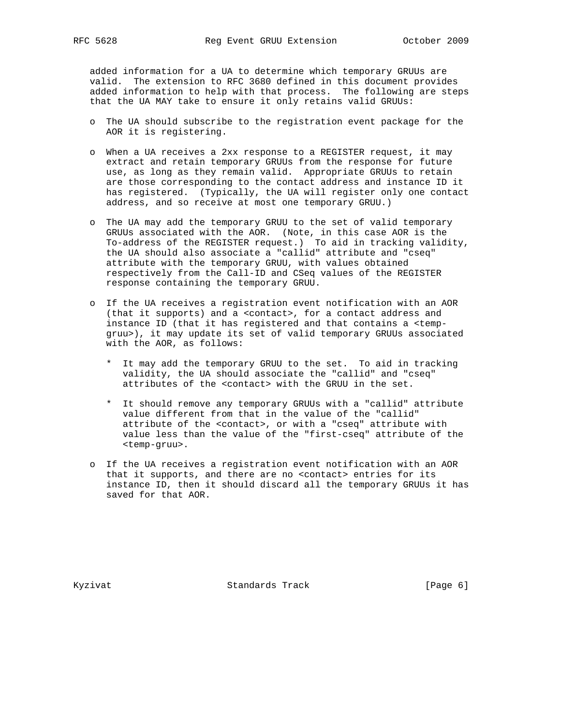added information for a UA to determine which temporary GRUUs are valid. The extension to RFC 3680 defined in this document provides added information to help with that process. The following are steps that the UA MAY take to ensure it only retains valid GRUUs:

- o The UA should subscribe to the registration event package for the AOR it is registering.
- o When a UA receives a 2xx response to a REGISTER request, it may extract and retain temporary GRUUs from the response for future use, as long as they remain valid. Appropriate GRUUs to retain are those corresponding to the contact address and instance ID it has registered. (Typically, the UA will register only one contact address, and so receive at most one temporary GRUU.)
- o The UA may add the temporary GRUU to the set of valid temporary GRUUs associated with the AOR. (Note, in this case AOR is the To-address of the REGISTER request.) To aid in tracking validity, the UA should also associate a "callid" attribute and "cseq" attribute with the temporary GRUU, with values obtained respectively from the Call-ID and CSeq values of the REGISTER response containing the temporary GRUU.
- o If the UA receives a registration event notification with an AOR (that it supports) and a <contact>, for a contact address and instance ID (that it has registered and that contains a <temp gruu>), it may update its set of valid temporary GRUUs associated with the AOR, as follows:
	- \* It may add the temporary GRUU to the set. To aid in tracking validity, the UA should associate the "callid" and "cseq" attributes of the <contact> with the GRUU in the set.
	- \* It should remove any temporary GRUUs with a "callid" attribute value different from that in the value of the "callid" attribute of the <contact>, or with a "cseq" attribute with value less than the value of the "first-cseq" attribute of the <temp-gruu>.
- o If the UA receives a registration event notification with an AOR that it supports, and there are no <contact> entries for its instance ID, then it should discard all the temporary GRUUs it has saved for that AOR.

Kyzivat **Standards Track** [Page 6]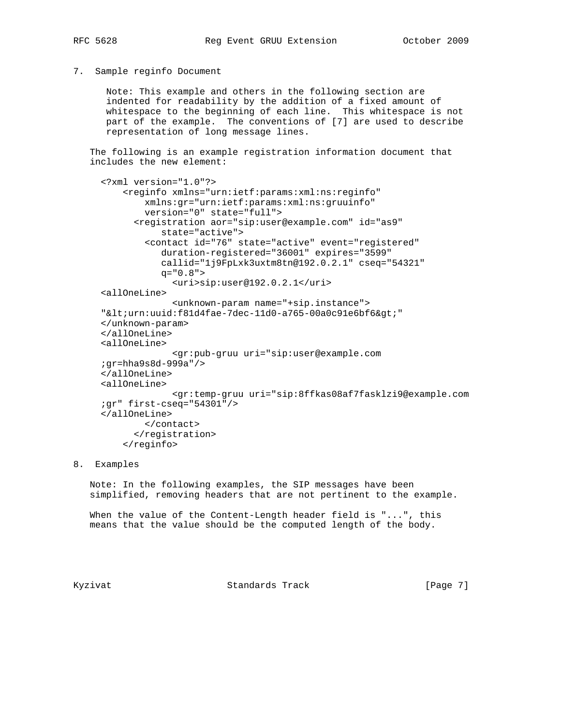#### 7. Sample reginfo Document

 Note: This example and others in the following section are indented for readability by the addition of a fixed amount of whitespace to the beginning of each line. This whitespace is not part of the example. The conventions of [7] are used to describe representation of long message lines.

 The following is an example registration information document that includes the new element:

```
 <?xml version="1.0"?>
     <reginfo xmlns="urn:ietf:params:xml:ns:reginfo"
         xmlns:gr="urn:ietf:params:xml:ns:gruuinfo"
         version="0" state="full">
       <registration aor="sip:user@example.com" id="as9"
            state="active">
         <contact id="76" state="active" event="registered"
            duration-registered="36001" expires="3599"
            callid="1j9FpLxk3uxtm8tn@192.0.2.1" cseq="54321"
           q = "0.8" <uri>sip:user@192.0.2.1</uri>
 <allOneLine>
              <unknown-param name="+sip.instance">
"<urn:uuid:f81d4fae-7dec-11d0-a765-00a0c91e6bf6&gt;"
 </unknown-param>
 </allOneLine>
 <allOneLine>
              <gr:pub-gruu uri="sip:user@example.com
 ;gr=hha9s8d-999a"/>
 </allOneLine>
 <allOneLine>
              <gr:temp-gruu uri="sip:8ffkas08af7fasklzi9@example.com
 ;gr" first-cseq="54301"/>
 </allOneLine>
        </contact>
       </registration>
     </reginfo>
```
#### 8. Examples

 Note: In the following examples, the SIP messages have been simplified, removing headers that are not pertinent to the example.

When the value of the Content-Length header field is "...", this means that the value should be the computed length of the body.

Kyzivat **Standards Track** [Page 7]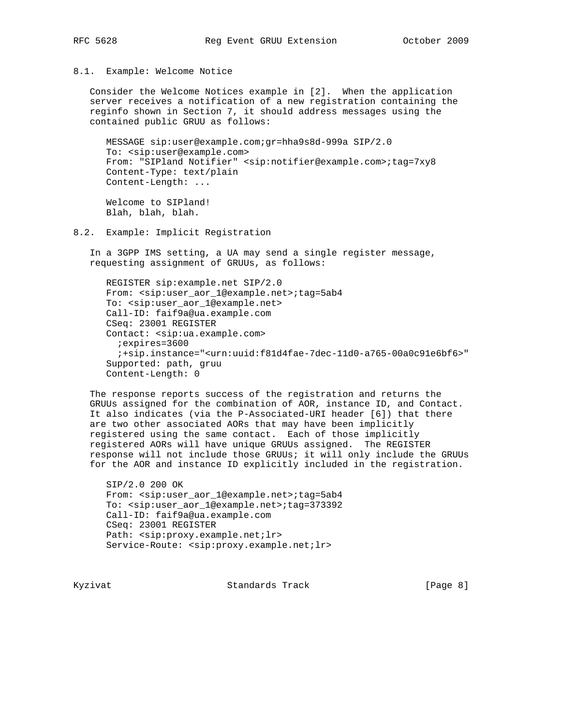### 8.1. Example: Welcome Notice

 Consider the Welcome Notices example in [2]. When the application server receives a notification of a new registration containing the reginfo shown in Section 7, it should address messages using the contained public GRUU as follows:

 MESSAGE sip:user@example.com;gr=hha9s8d-999a SIP/2.0 To: <sip:user@example.com> From: "SIPland Notifier" <sip:notifier@example.com>;tag=7xy8 Content-Type: text/plain Content-Length: ...

 Welcome to SIPland! Blah, blah, blah.

### 8.2. Example: Implicit Registration

 In a 3GPP IMS setting, a UA may send a single register message, requesting assignment of GRUUs, as follows:

 REGISTER sip:example.net SIP/2.0 From: <sip:user\_aor\_1@example.net>;tag=5ab4 To: <sip:user\_aor\_1@example.net> Call-ID: faif9a@ua.example.com CSeq: 23001 REGISTER Contact: <sip:ua.example.com> ;expires=3600 ;+sip.instance="<urn:uuid:f81d4fae-7dec-11d0-a765-00a0c91e6bf6>" Supported: path, gruu Content-Length: 0

 The response reports success of the registration and returns the GRUUs assigned for the combination of AOR, instance ID, and Contact. It also indicates (via the P-Associated-URI header [6]) that there are two other associated AORs that may have been implicitly registered using the same contact. Each of those implicitly registered AORs will have unique GRUUs assigned. The REGISTER response will not include those GRUUs; it will only include the GRUUs for the AOR and instance ID explicitly included in the registration.

 SIP/2.0 200 OK From: <sip:user\_aor\_1@example.net>;tag=5ab4 To: <sip:user\_aor\_1@example.net>;tag=373392 Call-ID: faif9a@ua.example.com CSeq: 23001 REGISTER Path: <sip:proxy.example.net;lr> Service-Route: <sip:proxy.example.net;lr>

Kyzivat **Standards Track** [Page 8]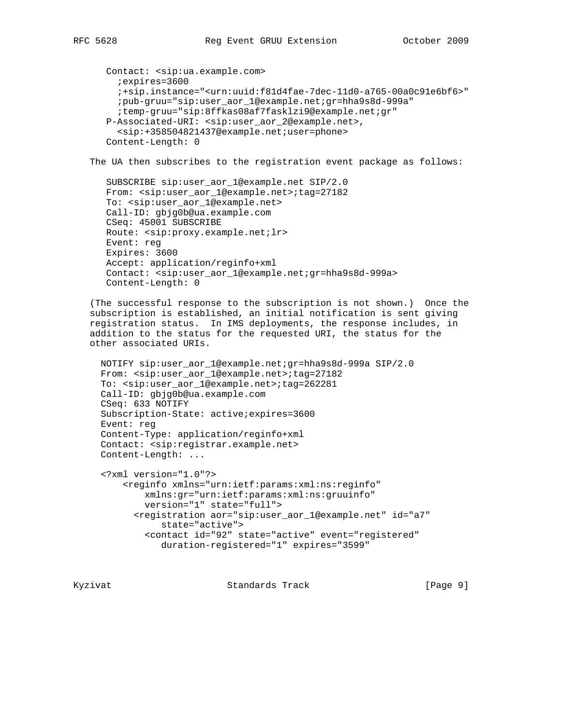```
 Contact: <sip:ua.example.com>
      ;expires=3600
      ;+sip.instance="<urn:uuid:f81d4fae-7dec-11d0-a765-00a0c91e6bf6>"
      ;pub-gruu="sip:user_aor_1@example.net;gr=hha9s8d-999a"
      ;temp-gruu="sip:8ffkas08af7fasklzi9@example.net;gr"
    P-Associated-URI: <sip:user_aor_2@example.net>,
      <sip:+358504821437@example.net;user=phone>
    Content-Length: 0
 The UA then subscribes to the registration event package as follows:
    SUBSCRIBE sip:user_aor_1@example.net SIP/2.0
   From: <sip:user_aor_1@example.net>;tag=27182
   To: <sip:user_aor_1@example.net>
    Call-ID: gbjg0b@ua.example.com
   CSeq: 45001 SUBSCRIBE
   Route: <sip:proxy.example.net;lr>
   Event: reg
   Expires: 3600
   Accept: application/reginfo+xml
   Contact: <sip:user_aor_1@example.net;gr=hha9s8d-999a>
   Content-Length: 0
 (The successful response to the subscription is not shown.) Once the
 subscription is established, an initial notification is sent giving
 registration status. In IMS deployments, the response includes, in
 addition to the status for the requested URI, the status for the
 other associated URIs.
  NOTIFY sip:user_aor_1@example.net;gr=hha9s8d-999a SIP/2.0
  From: <sip:user_aor_1@example.net>;tag=27182
  To: <sip:user_aor_1@example.net>;tag=262281
  Call-ID: gbjg0b@ua.example.com
  CSeq: 633 NOTIFY
   Subscription-State: active;expires=3600
  Event: reg
   Content-Type: application/reginfo+xml
   Contact: <sip:registrar.example.net>
   Content-Length: ...
   <?xml version="1.0"?>
       <reginfo xmlns="urn:ietf:params:xml:ns:reginfo"
           xmlns:gr="urn:ietf:params:xml:ns:gruuinfo"
           version="1" state="full">
         <registration aor="sip:user_aor_1@example.net" id="a7"
              state="active">
           <contact id="92" state="active" event="registered"
              duration-registered="1" expires="3599"
```
Kyzivat **Standards Track** [Page 9]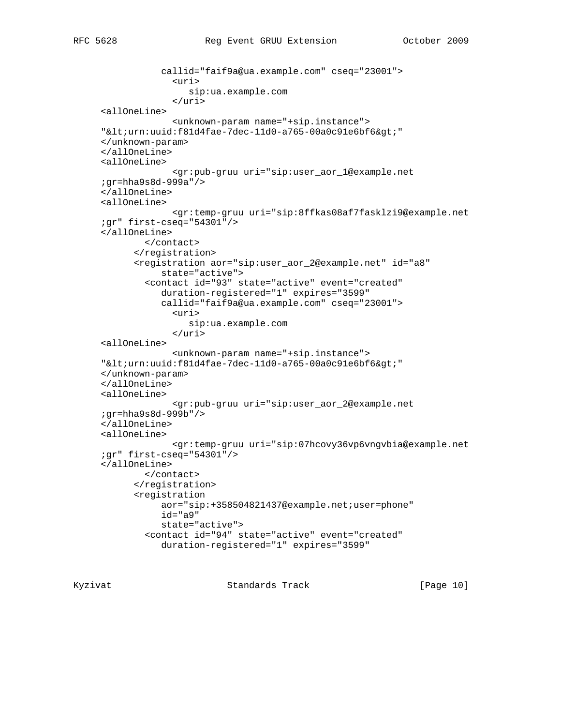```
 callid="faif9a@ua.example.com" cseq="23001">
              <uri>
                 sip:ua.example.com
              </uri>
 <allOneLine>
              <unknown-param name="+sip.instance">
"<urn:uuid:f81d4fae-7dec-11d0-a765-00a0c91e6bf6&gt;"
 </unknown-param>
 </allOneLine>
 <allOneLine>
              <gr:pub-gruu uri="sip:user_aor_1@example.net
 ;gr=hha9s8d-999a"/>
 </allOneLine>
 <allOneLine>
              <gr:temp-gruu uri="sip:8ffkas08af7fasklzi9@example.net
 ;gr" first-cseq="54301"/>
 </allOneLine>
         </contact>
       </registration>
       <registration aor="sip:user_aor_2@example.net" id="a8"
            state="active">
         <contact id="93" state="active" event="created"
            duration-registered="1" expires="3599"
            callid="faif9a@ua.example.com" cseq="23001">
             curi>
                 sip:ua.example.com
              </uri>
 <allOneLine>
              <unknown-param name="+sip.instance">
"<urn:uuid:f81d4fae-7dec-11d0-a765-00a0c91e6bf6&gt;"
 </unknown-param>
 </allOneLine>
 <allOneLine>
              <gr:pub-gruu uri="sip:user_aor_2@example.net
 ;gr=hha9s8d-999b"/>
 </allOneLine>
 <allOneLine>
              <gr:temp-gruu uri="sip:07hcovy36vp6vngvbia@example.net
 ;gr" first-cseq="54301"/>
 </allOneLine>
         </contact>
       </registration>
       <registration
            aor="sip:+358504821437@example.net;user=phone"
            id="a9"
            state="active">
         <contact id="94" state="active" event="created"
            duration-registered="1" expires="3599"
```
Kyzivat Standards Track [Page 10]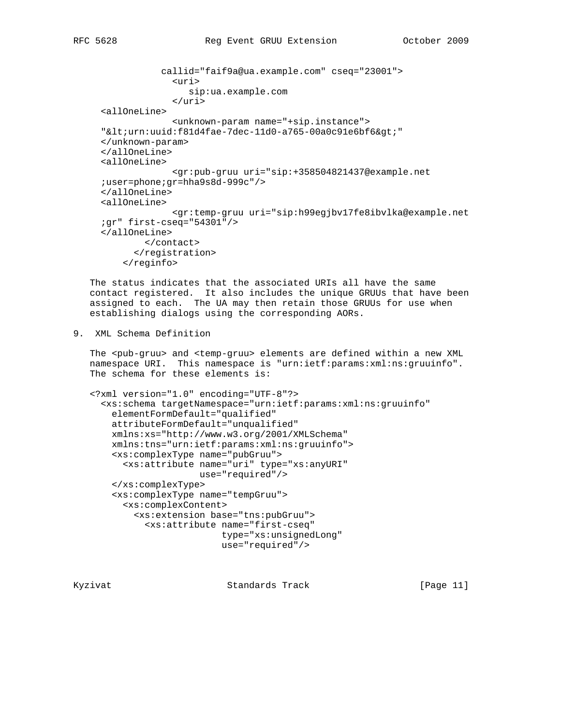```
 callid="faif9a@ua.example.com" cseq="23001">
              <uri>
                  sip:ua.example.com
              </uri>
 <allOneLine>
              <unknown-param name="+sip.instance">
"<urn:uuid:f81d4fae-7dec-11d0-a765-00a0c91e6bf6&gt;"
 </unknown-param>
 </allOneLine>
 <allOneLine>
              <gr:pub-gruu uri="sip:+358504821437@example.net
 ;user=phone;gr=hha9s8d-999c"/>
 </allOneLine>
 <allOneLine>
              <gr:temp-gruu uri="sip:h99egjbv17fe8ibvlka@example.net
 ;gr" first-cseq="54301"/>
 </allOneLine>
         </contact>
       </registration>
     </reginfo>
```
 The status indicates that the associated URIs all have the same contact registered. It also includes the unique GRUUs that have been assigned to each. The UA may then retain those GRUUs for use when establishing dialogs using the corresponding AORs.

```
9. XML Schema Definition
```
 The <pub-gruu> and <temp-gruu> elements are defined within a new XML namespace URI. This namespace is "urn:ietf:params:xml:ns:gruuinfo". The schema for these elements is:

```
 <?xml version="1.0" encoding="UTF-8"?>
   <xs:schema targetNamespace="urn:ietf:params:xml:ns:gruuinfo"
    elementFormDefault="qualified"
     attributeFormDefault="unqualified"
    xmlns:xs="http://www.w3.org/2001/XMLSchema"
     xmlns:tns="urn:ietf:params:xml:ns:gruuinfo">
     <xs:complexType name="pubGruu">
       <xs:attribute name="uri" type="xs:anyURI"
                     use="required"/>
     </xs:complexType>
     <xs:complexType name="tempGruu">
       <xs:complexContent>
         <xs:extension base="tns:pubGruu">
           <xs:attribute name="first-cseq"
                          type="xs:unsignedLong"
                          use="required"/>
```
Kyzivat Standards Track [Page 11]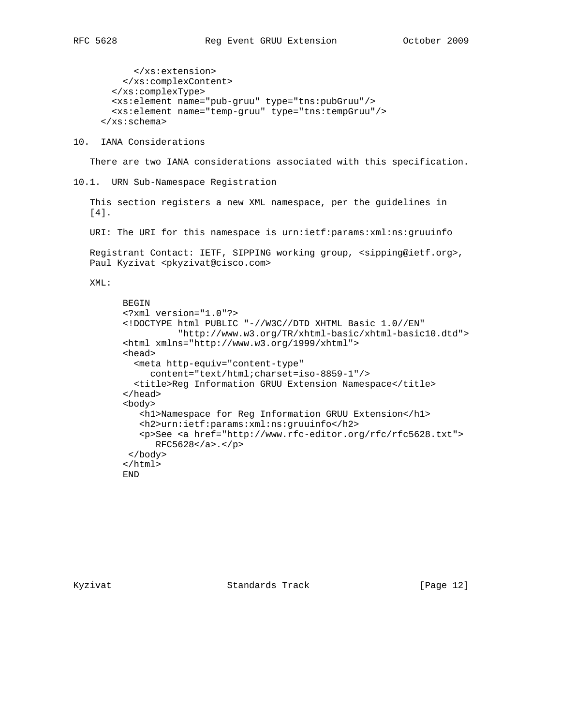```
 </xs:extension>
    </xs:complexContent>
  </xs:complexType>
  <xs:element name="pub-gruu" type="tns:pubGruu"/>
  <xs:element name="temp-gruu" type="tns:tempGruu"/>
 </xs:schema>
```
10. IANA Considerations

There are two IANA considerations associated with this specification.

10.1. URN Sub-Namespace Registration

 This section registers a new XML namespace, per the guidelines in [4].

URI: The URI for this namespace is urn:ietf:params:xml:ns:gruuinfo

 Registrant Contact: IETF, SIPPING working group, <sipping@ietf.org>, Paul Kyzivat <pkyzivat@cisco.com>

XML:

```
 BEGIN
 <?xml version="1.0"?>
 <!DOCTYPE html PUBLIC "-//W3C//DTD XHTML Basic 1.0//EN"
           "http://www.w3.org/TR/xhtml-basic/xhtml-basic10.dtd">
 <html xmlns="http://www.w3.org/1999/xhtml">
 <head>
   <meta http-equiv="content-type"
      content="text/html;charset=iso-8859-1"/>
   <title>Reg Information GRUU Extension Namespace</title>
 </head>
 <body>
    <h1>Namespace for Reg Information GRUU Extension</h1>
    <h2>urn:ietf:params:xml:ns:gruuinfo</h2>
    <p>See <a href="http://www.rfc-editor.org/rfc/rfc5628.txt">
      RFC5628</a>.</p>
 </body>
 </html>
 END
```
Kyzivat Standards Track [Page 12]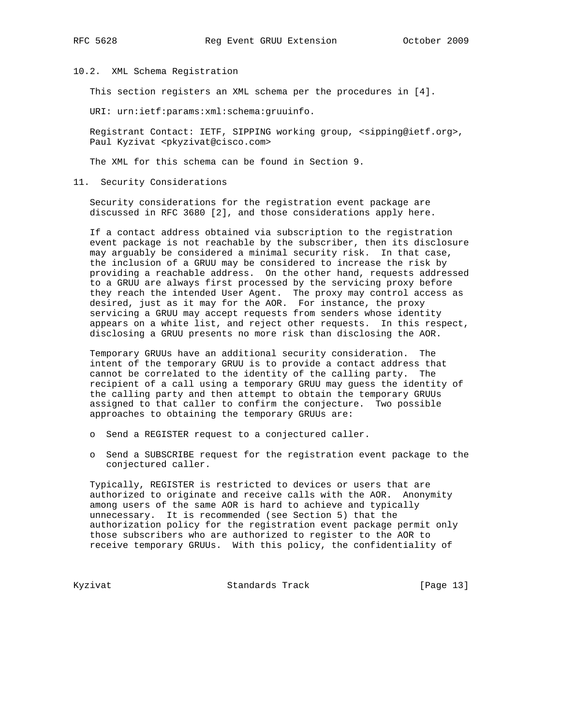10.2. XML Schema Registration

This section registers an XML schema per the procedures in [4].

URI: urn:ietf:params:xml:schema:gruuinfo.

 Registrant Contact: IETF, SIPPING working group, <sipping@ietf.org>, Paul Kyzivat <pkyzivat@cisco.com>

The XML for this schema can be found in Section 9.

11. Security Considerations

 Security considerations for the registration event package are discussed in RFC 3680 [2], and those considerations apply here.

 If a contact address obtained via subscription to the registration event package is not reachable by the subscriber, then its disclosure may arguably be considered a minimal security risk. In that case, the inclusion of a GRUU may be considered to increase the risk by providing a reachable address. On the other hand, requests addressed to a GRUU are always first processed by the servicing proxy before they reach the intended User Agent. The proxy may control access as desired, just as it may for the AOR. For instance, the proxy servicing a GRUU may accept requests from senders whose identity appears on a white list, and reject other requests. In this respect, disclosing a GRUU presents no more risk than disclosing the AOR.

 Temporary GRUUs have an additional security consideration. The intent of the temporary GRUU is to provide a contact address that cannot be correlated to the identity of the calling party. The recipient of a call using a temporary GRUU may guess the identity of the calling party and then attempt to obtain the temporary GRUUs assigned to that caller to confirm the conjecture. Two possible approaches to obtaining the temporary GRUUs are:

- o Send a REGISTER request to a conjectured caller.
- o Send a SUBSCRIBE request for the registration event package to the conjectured caller.

 Typically, REGISTER is restricted to devices or users that are authorized to originate and receive calls with the AOR. Anonymity among users of the same AOR is hard to achieve and typically unnecessary. It is recommended (see Section 5) that the authorization policy for the registration event package permit only those subscribers who are authorized to register to the AOR to receive temporary GRUUs. With this policy, the confidentiality of

Kyzivat **Standards Track** [Page 13]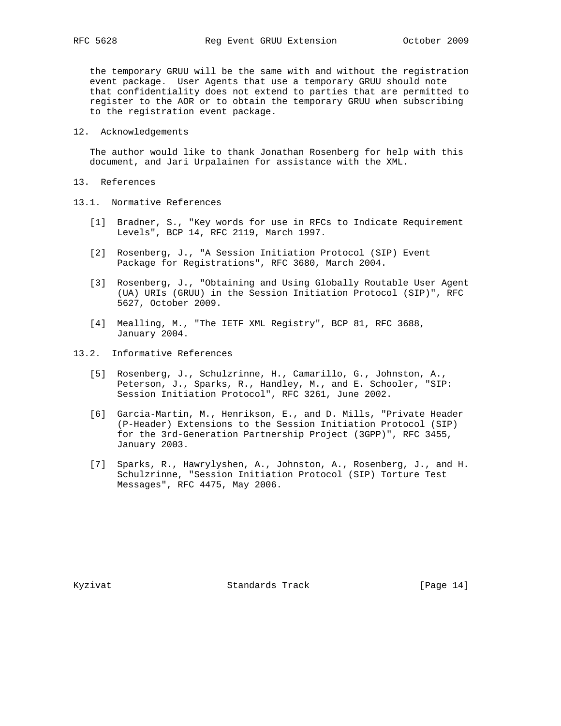the temporary GRUU will be the same with and without the registration event package. User Agents that use a temporary GRUU should note that confidentiality does not extend to parties that are permitted to register to the AOR or to obtain the temporary GRUU when subscribing to the registration event package.

#### 12. Acknowledgements

 The author would like to thank Jonathan Rosenberg for help with this document, and Jari Urpalainen for assistance with the XML.

- 13. References
- 13.1. Normative References
	- [1] Bradner, S., "Key words for use in RFCs to Indicate Requirement Levels", BCP 14, RFC 2119, March 1997.
	- [2] Rosenberg, J., "A Session Initiation Protocol (SIP) Event Package for Registrations", RFC 3680, March 2004.
	- [3] Rosenberg, J., "Obtaining and Using Globally Routable User Agent (UA) URIs (GRUU) in the Session Initiation Protocol (SIP)", RFC 5627, October 2009.
	- [4] Mealling, M., "The IETF XML Registry", BCP 81, RFC 3688, January 2004.
- 13.2. Informative References
	- [5] Rosenberg, J., Schulzrinne, H., Camarillo, G., Johnston, A., Peterson, J., Sparks, R., Handley, M., and E. Schooler, "SIP: Session Initiation Protocol", RFC 3261, June 2002.
	- [6] Garcia-Martin, M., Henrikson, E., and D. Mills, "Private Header (P-Header) Extensions to the Session Initiation Protocol (SIP) for the 3rd-Generation Partnership Project (3GPP)", RFC 3455, January 2003.
	- [7] Sparks, R., Hawrylyshen, A., Johnston, A., Rosenberg, J., and H. Schulzrinne, "Session Initiation Protocol (SIP) Torture Test Messages", RFC 4475, May 2006.

Kyzivat Standards Track [Page 14]